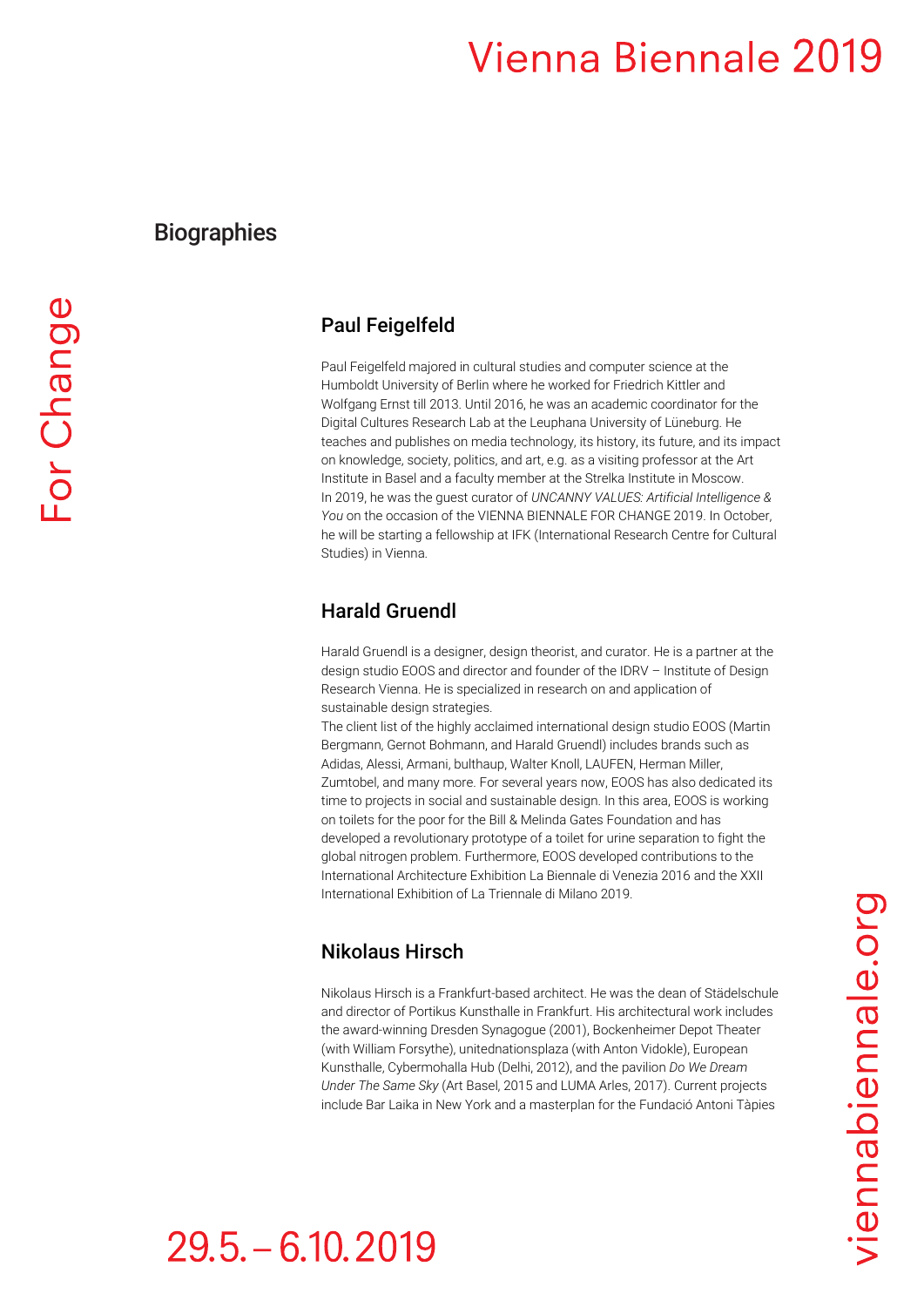## **Biographies**

### Paul Feigelfeld

Paul Feigelfeld majored in cultural studies and computer science at the Humboldt University of Berlin where he worked for Friedrich Kittler and Wolfgang Ernst till 2013. Until 2016, he was an academic coordinator for the Digital Cultures Research Lab at the Leuphana University of Lüneburg. He teaches and publishes on media technology, its history, its future, and its impact on knowledge, society, politics, and art, e.g. as a visiting professor at the Art Institute in Basel and a faculty member at the Strelka Institute in Moscow. In 2019, he was the guest curator of *UNCANNY VALUES: Artificial Intelligence & You* on the occasion of the VIENNA BIENNALE FOR CHANGE 2019. In October, he will be starting a fellowship at IFK (International Research Centre for Cultural Studies) in Vienna.

### Harald Gruendl

Harald Gruendl is a designer, design theorist, and curator. He is a partner at the design studio EOOS and director and founder of the IDRV – Institute of Design Research Vienna. He is specialized in research on and application of sustainable design strategies.

The client list of the highly acclaimed international design studio EOOS (Martin Bergmann, Gernot Bohmann, and Harald Gruendl) includes brands such as Adidas, Alessi, Armani, bulthaup, Walter Knoll, LAUFEN, Herman Miller, Zumtobel, and many more. For several years now, EOOS has also dedicated its time to projects in social and sustainable design. In this area, EOOS is working on toilets for the poor for the Bill & Melinda Gates Foundation and has developed a revolutionary prototype of a toilet for urine separation to fight the global nitrogen problem. Furthermore, EOOS developed contributions to the International Architecture Exhibition La Biennale di Venezia 2016 and the XXII International Exhibition of La Triennale di Milano 2019.

## Nikolaus Hirsch

Nikolaus Hirsch is a Frankfurt-based architect. He was the dean of Städelschule and director of Portikus Kunsthalle in Frankfurt. His architectural work includes the award-winning Dresden Synagogue (2001), Bockenheimer Depot Theater (with William Forsythe), unitednationsplaza (with Anton Vidokle), European Kunsthalle, Cybermohalla Hub (Delhi, 2012), and the pavilion *Do We Dream Under The Same Sky* (Art Basel, 2015 and LUMA Arles, 2017). Current projects include Bar Laika in New York and a masterplan for the Fundació Antoni Tàpies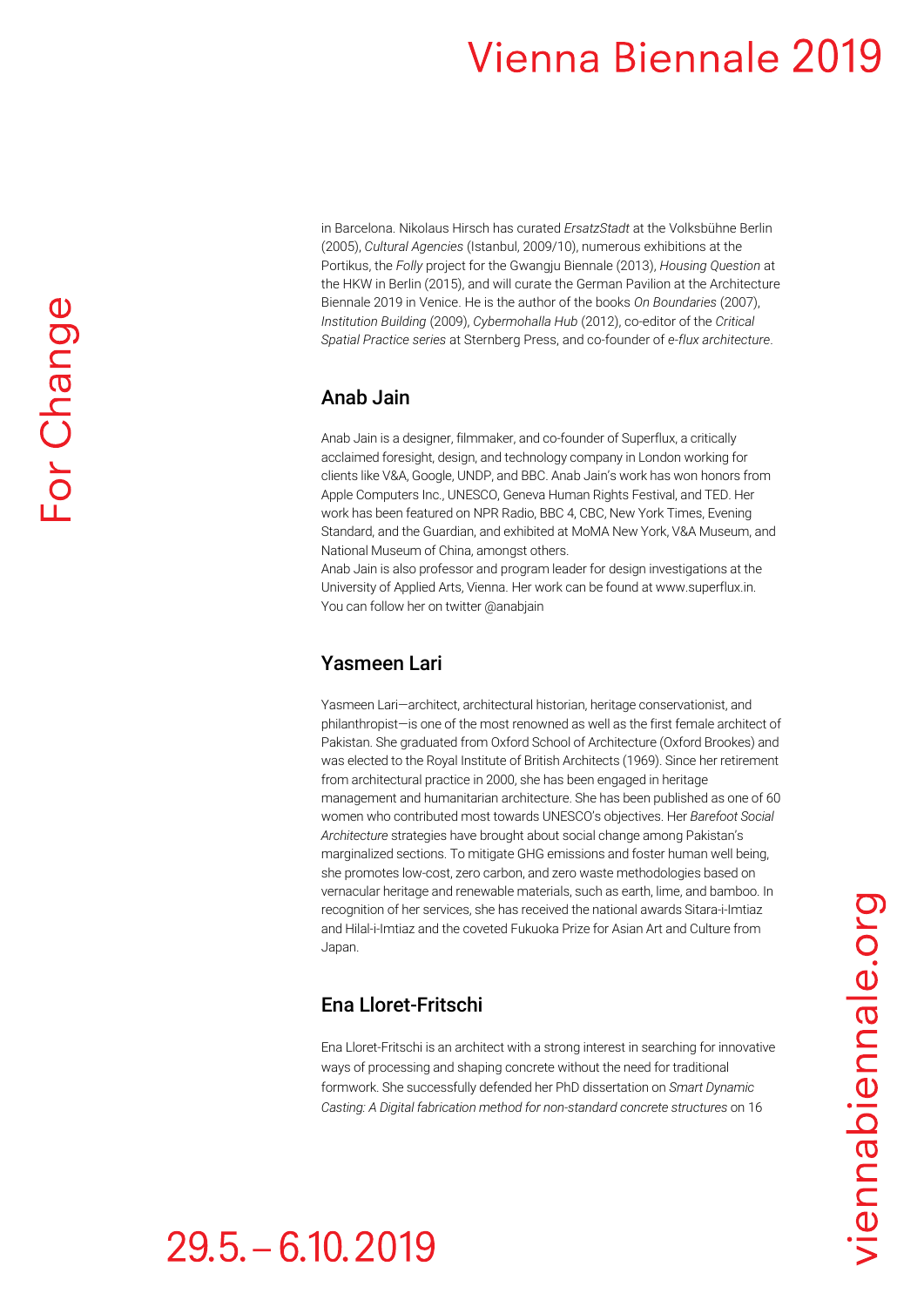in Barcelona. Nikolaus Hirsch has curated *ErsatzStadt* at the Volksbühne Berlin (2005), *Cultural Agencies* (Istanbul, 2009/10), numerous exhibitions at the Portikus, the *Folly* project for the Gwangju Biennale (2013), *Housing Question* at the HKW in Berlin (2015), and will curate the German Pavilion at the Architecture Biennale 2019 in Venice. He is the author of the books *On Boundaries* (2007), *Institution Building* (2009), *Cybermohalla Hub* (2012), co-editor of the *Critical Spatial Practice series* at Sternberg Press, and co-founder of *e-flux architecture*.

#### Anab Jain

Anab Jain is a designer, filmmaker, and co-founder of Superflux, a critically acclaimed foresight, design, and technology company in London working for clients like V&A, Google, UNDP, and BBC. Anab Jain's work has won honors from Apple Computers Inc., UNESCO, Geneva Human Rights Festival, and TED. Her work has been featured on NPR Radio, BBC 4, CBC, New York Times, Evening Standard, and the Guardian, and exhibited at MoMA New York, V&A Museum, and National Museum of China, amongst others.

Anab Jain is also professor and program leader for design investigations at the University of Applied Arts, Vienna. Her work can be found at www.superflux.in. You can follow her on twitter @anabjain

## Yasmeen Lari

Yasmeen Lari—architect, architectural historian, heritage conservationist, and philanthropist—is one of the most renowned as well as the first female architect of Pakistan. She graduated from Oxford School of Architecture (Oxford Brookes) and was elected to the Royal Institute of British Architects (1969). Since her retirement from architectural practice in 2000, she has been engaged in heritage management and humanitarian architecture. She has been published as one of 60 women who contributed most towards UNESCO's objectives. Her *Barefoot Social Architecture* strategies have brought about social change among Pakistan's marginalized sections. To mitigate GHG emissions and foster human well being, she promotes low-cost, zero carbon, and zero waste methodologies based on vernacular heritage and renewable materials, such as earth, lime, and bamboo. In recognition of her services, she has received the national awards Sitara-i-Imtiaz and Hilal-i-Imtiaz and the coveted Fukuoka Prize for Asian Art and Culture from Japan.

## Ena Lloret-Fritschi

Ena Lloret-Fritschi is an architect with a strong interest in searching for innovative ways of processing and shaping concrete without the need for traditional formwork. She successfully defended her PhD dissertation on *Smart Dynamic Casting: A Digital fabrication method for non-standard concrete structures* on 16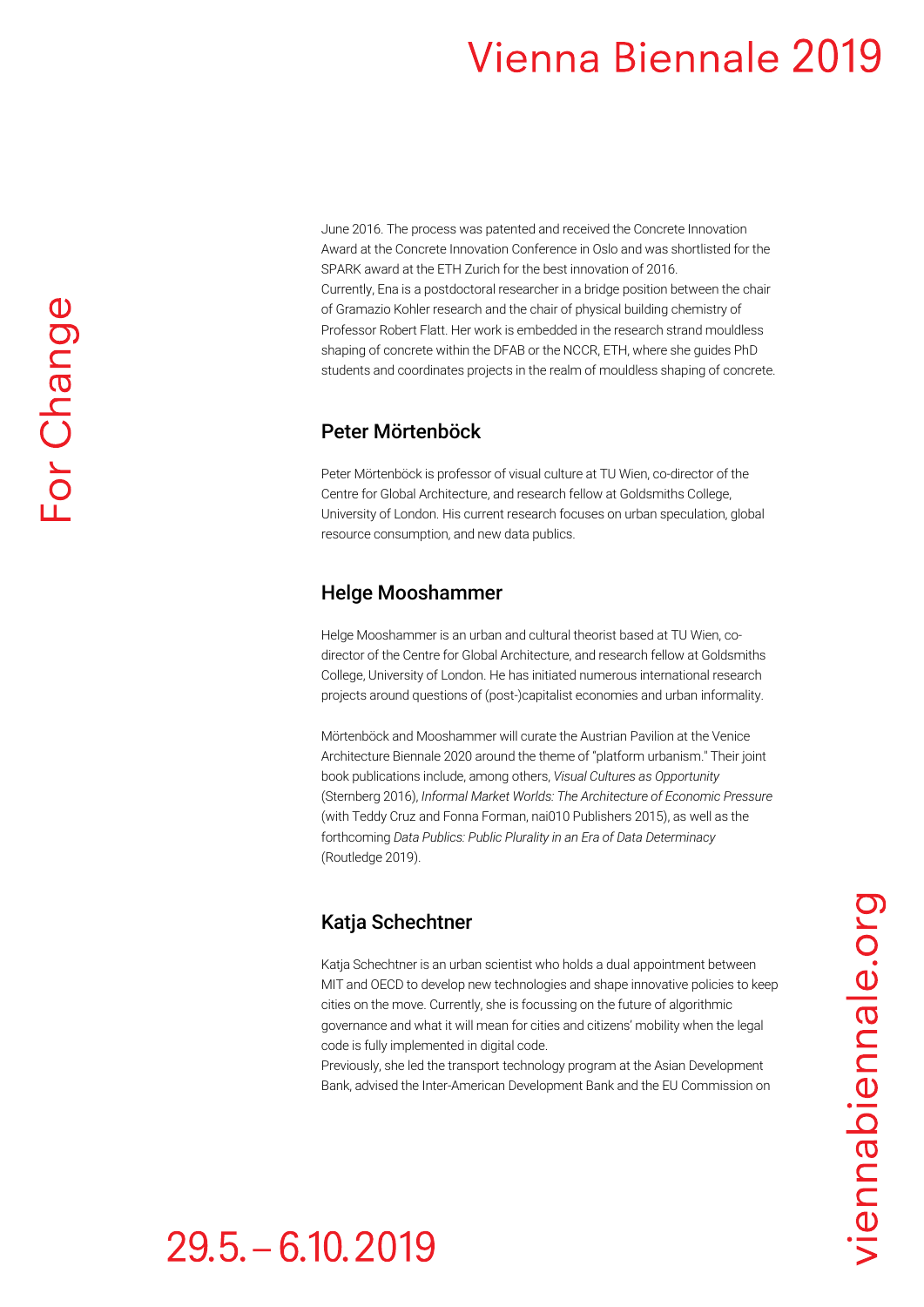June 2016. The process was patented and received the Concrete Innovation Award at the Concrete Innovation Conference in Oslo and was shortlisted for the SPARK award at the ETH Zurich for the best innovation of 2016. Currently, Ena is a postdoctoral researcher in a bridge position between the chair of Gramazio Kohler research and the chair of physical building chemistry of Professor Robert Flatt. Her work is embedded in the research strand mouldless shaping of concrete within the DFAB or the NCCR, ETH, where she guides PhD students and coordinates projects in the realm of mouldless shaping of concrete.

### Peter Mörtenböck

Peter Mörtenböck is professor of visual culture at TU Wien, co-director of the Centre for Global Architecture, and research fellow at Goldsmiths College, University of London. His current research focuses on urban speculation, global resource consumption, and new data publics.

## Helge Mooshammer

Helge Mooshammer is an urban and cultural theorist based at TU Wien, codirector of the Centre for Global Architecture, and research fellow at Goldsmiths College, University of London. He has initiated numerous international research projects around questions of (post-)capitalist economies and urban informality.

Mörtenböck and Mooshammer will curate the Austrian Pavilion at the Venice Architecture Biennale 2020 around the theme of "platform urbanism." Their joint book publications include, among others, *Visual Cultures as Opportunity* (Sternberg 2016), *Informal Market Worlds: The Architecture of Economic Pressure*  (with Teddy Cruz and Fonna Forman, nai010 Publishers 2015), as well as the forthcoming *Data Publics: Public Plurality in an Era of Data Determinacy* (Routledge 2019).

## Katja Schechtner

Katja Schechtner is an urban scientist who holds a dual appointment between MIT and OECD to develop new technologies and shape innovative policies to keep cities on the move. Currently, she is focussing on the future of algorithmic governance and what it will mean for cities and citizens' mobility when the legal code is fully implemented in digital code.

Previously, she led the transport technology program at the Asian Development Bank, advised the Inter-American Development Bank and the EU Commission on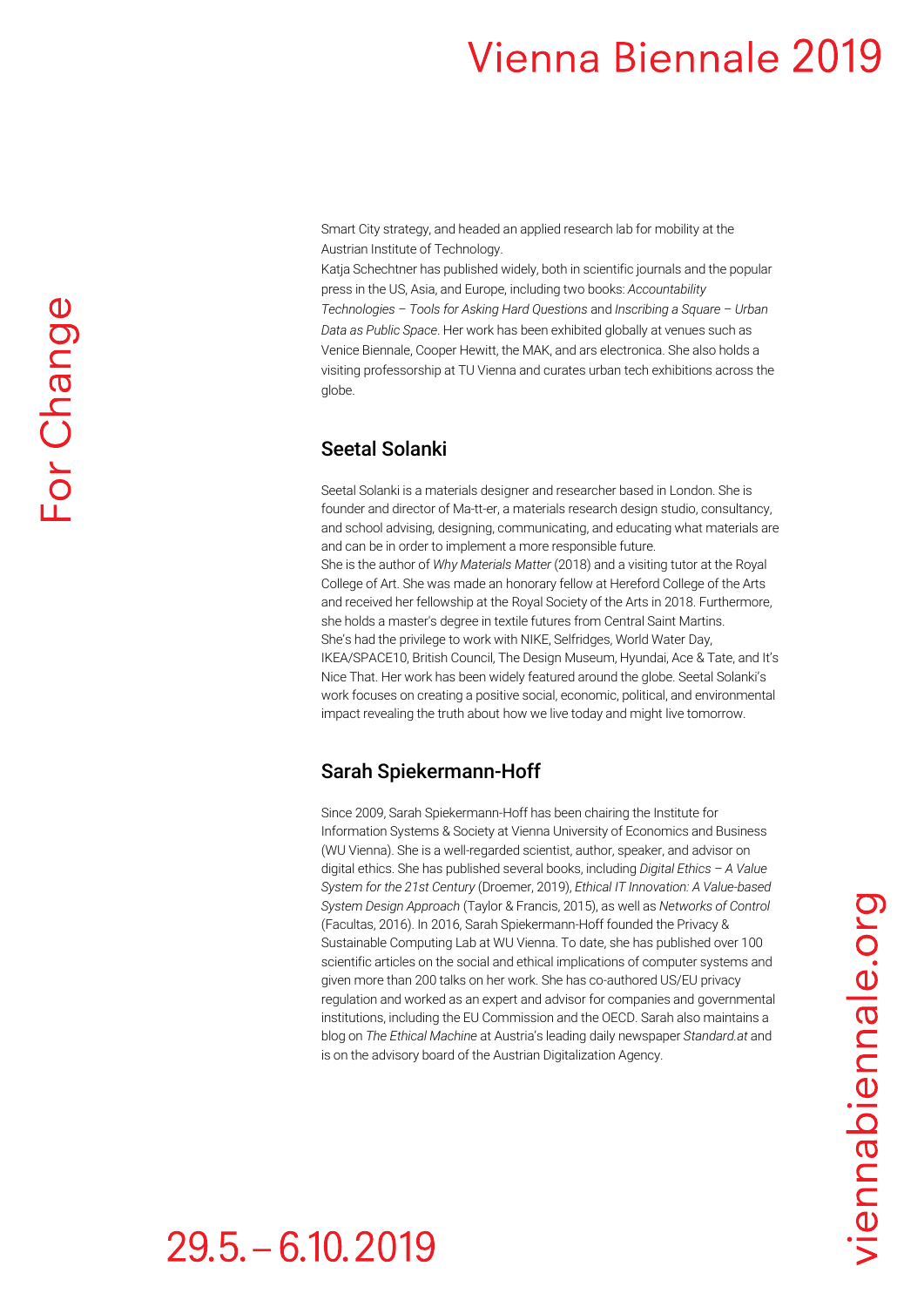Smart City strategy, and headed an applied research lab for mobility at the Austrian Institute of Technology.

Katja Schechtner has published widely, both in scientific journals and the popular press in the US, Asia, and Europe, including two books: *Accountability Technologies – Tools for Asking Hard Questions* and *Inscribing a Square – Urban Data as Public Space*. Her work has been exhibited globally at venues such as Venice Biennale, Cooper Hewitt, the MAK, and ars electronica. She also holds a visiting professorship at TU Vienna and curates urban tech exhibitions across the globe.

## Seetal Solanki

Seetal Solanki is a materials designer and researcher based in London. She is founder and director of Ma-tt-er, a materials research design studio, consultancy, and school advising, designing, communicating, and educating what materials are and can be in order to implement a more responsible future. She is the author of *Why Materials Matter* (2018) and a visiting tutor at the Royal College of Art. She was made an honorary fellow at Hereford College of the Arts and received her fellowship at the Royal Society of the Arts in 2018. Furthermore, she holds a master's degree in textile futures from Central Saint Martins. She's had the privilege to work with NIKE, Selfridges, World Water Day, IKEA/SPACE10, British Council, The Design Museum, Hyundai, Ace & Tate, and It's Nice That. Her work has been widely featured around the globe. Seetal Solanki's work focuses on creating a positive social, economic, political, and environmental impact revealing the truth about how we live today and might live tomorrow.

### Sarah Spiekermann-Hoff

Since 2009, Sarah Spiekermann-Hoff has been chairing the Institute for Information Systems & Society at Vienna University of Economics and Business (WU Vienna). She is a well-regarded scientist, author, speaker, and advisor on digital ethics. She has published several books, including *Digital Ethics – A Value System for the 21st Century* (Droemer, 2019), *Ethical IT Innovation: A Value-based System Design Approach* (Taylor & Francis, 2015), as well as *Networks of Control* (Facultas, 2016). In 2016, Sarah Spiekermann-Hoff founded the Privacy & Sustainable Computing Lab at WU Vienna. To date, she has published over 100 scientific articles on the social and ethical implications of computer systems and given more than 200 talks on her work. She has co-authored US/EU privacy regulation and worked as an expert and advisor for companies and governmental institutions, including the EU Commission and the OECD. Sarah also maintains a blog on *The Ethical Machine* at Austria's leading daily newspaper *Standard.at* and is on the advisory board of the Austrian Digitalization Agency.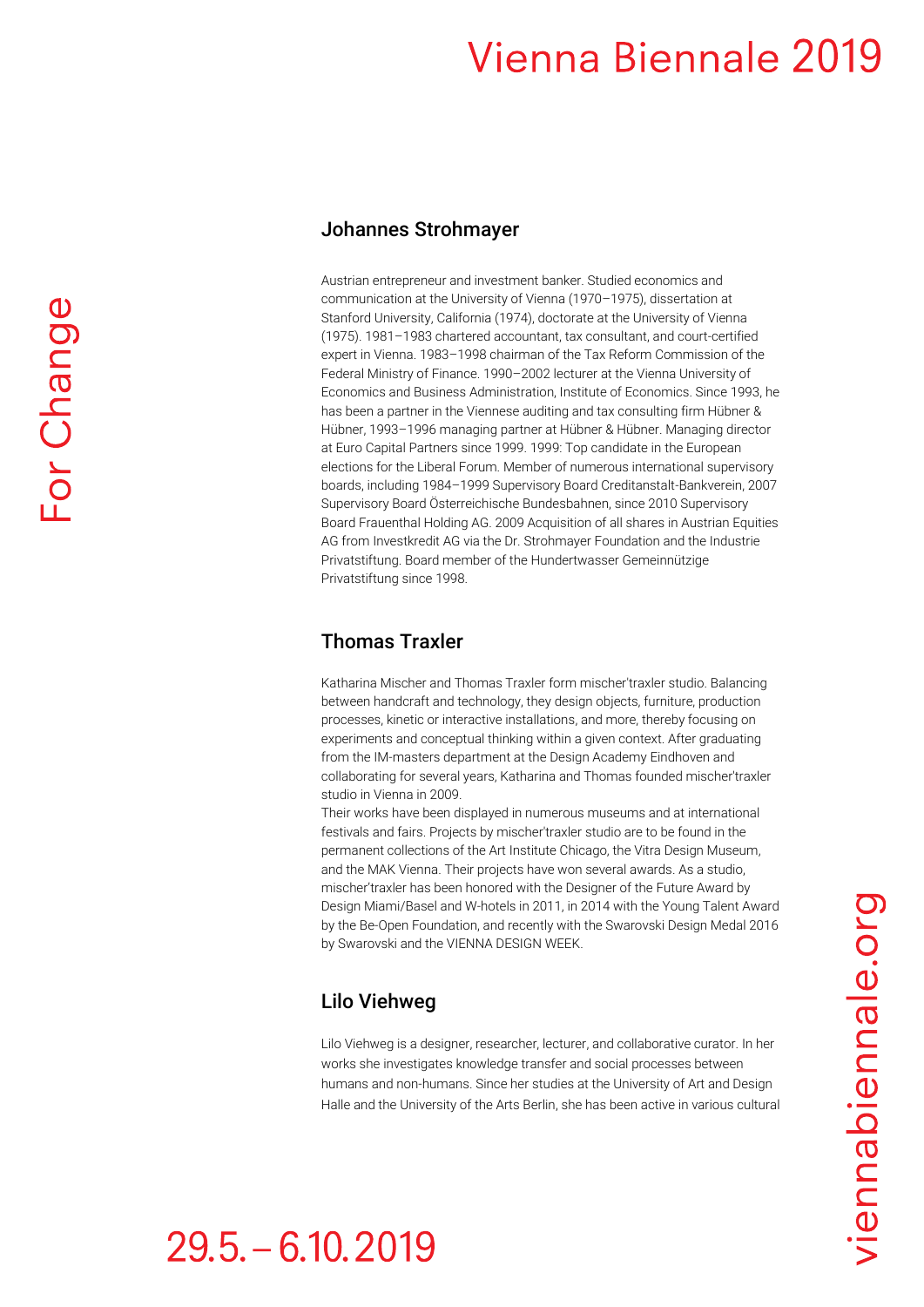#### Johannes Strohmayer

Austrian entrepreneur and investment banker. Studied economics and communication at the University of Vienna (1970–1975), dissertation at Stanford University, California (1974), doctorate at the University of Vienna (1975). 1981–1983 chartered accountant, tax consultant, and court-certified expert in Vienna. 1983–1998 chairman of the Tax Reform Commission of the Federal Ministry of Finance. 1990–2002 lecturer at the Vienna University of Economics and Business Administration, Institute of Economics. Since 1993, he has been a partner in the Viennese auditing and tax consulting firm Hübner & Hübner, 1993–1996 managing partner at Hübner & Hübner. Managing director at Euro Capital Partners since 1999. 1999: Top candidate in the European elections for the Liberal Forum. Member of numerous international supervisory boards, including 1984–1999 Supervisory Board Creditanstalt-Bankverein, 2007 Supervisory Board Österreichische Bundesbahnen, since 2010 Supervisory Board Frauenthal Holding AG. 2009 Acquisition of all shares in Austrian Equities AG from Investkredit AG via the Dr. Strohmayer Foundation and the Industrie Privatstiftung. Board member of the Hundertwasser Gemeinnützige Privatstiftung since 1998.

#### Thomas Traxler

Katharina Mischer and Thomas Traxler form mischer'traxler studio. Balancing between handcraft and technology, they design objects, furniture, production processes, kinetic or interactive installations, and more, thereby focusing on experiments and conceptual thinking within a given context. After graduating from the IM-masters department at the Design Academy Eindhoven and collaborating for several years, Katharina and Thomas founded mischer'traxler studio in Vienna in 2009.

Their works have been displayed in numerous museums and at international festivals and fairs. Projects by mischer'traxler studio are to be found in the permanent collections of the Art Institute Chicago, the Vitra Design Museum, and the MAK Vienna. Their projects have won several awards. As a studio, mischer'traxler has been honored with the Designer of the Future Award by Design Miami/Basel and W-hotels in 2011, in 2014 with the Young Talent Award by the Be-Open Foundation, and recently with the Swarovski Design Medal 2016 by Swarovski and the VIENNA DESIGN WEEK.

## Lilo Viehweg

Lilo Viehweg is a designer, researcher, lecturer, and collaborative curator. In her works she investigates knowledge transfer and social processes between humans and non-humans. Since her studies at the University of Art and Design Halle and the University of the Arts Berlin, she has been active in various cultural